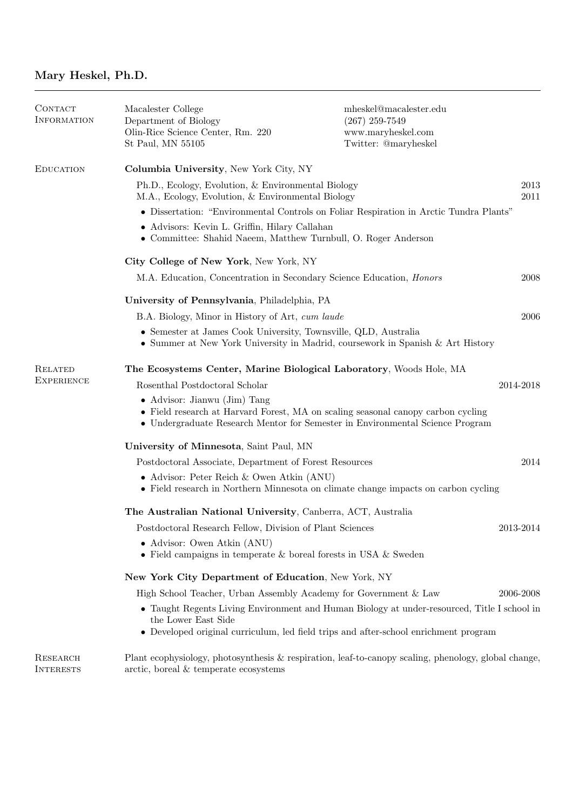# Mary Heskel, Ph.D.

| CONTACT<br><b>INFORMATION</b>       | Macalester College<br>Department of Biology<br>Olin-Rice Science Center, Rm. 220<br>St Paul, MN 55105                                                                                                      | mheskel@macalester.edu<br>$(267)$ 259-7549<br>www.maryheskel.com<br>Twitter: @maryheskel |              |  |
|-------------------------------------|------------------------------------------------------------------------------------------------------------------------------------------------------------------------------------------------------------|------------------------------------------------------------------------------------------|--------------|--|
| <b>EDUCATION</b>                    | Columbia University, New York City, NY                                                                                                                                                                     |                                                                                          |              |  |
|                                     | Ph.D., Ecology, Evolution, & Environmental Biology<br>M.A., Ecology, Evolution, & Environmental Biology                                                                                                    |                                                                                          | 2013<br>2011 |  |
|                                     | • Dissertation: "Environmental Controls on Foliar Respiration in Arctic Tundra Plants"                                                                                                                     |                                                                                          |              |  |
|                                     | • Advisors: Kevin L. Griffin, Hilary Callahan<br>• Committee: Shahid Naeem, Matthew Turnbull, O. Roger Anderson                                                                                            |                                                                                          |              |  |
|                                     | City College of New York, New York, NY                                                                                                                                                                     |                                                                                          |              |  |
|                                     | M.A. Education, Concentration in Secondary Science Education, <i>Honors</i><br>2008                                                                                                                        |                                                                                          |              |  |
|                                     | University of Pennsylvania, Philadelphia, PA                                                                                                                                                               |                                                                                          |              |  |
|                                     | B.A. Biology, Minor in History of Art, cum laude<br>2006                                                                                                                                                   |                                                                                          |              |  |
|                                     | • Semester at James Cook University, Townsville, QLD, Australia<br>• Summer at New York University in Madrid, coursework in Spanish $\&$ Art History                                                       |                                                                                          |              |  |
| <b>RELATED</b><br><b>EXPERIENCE</b> | The Ecosystems Center, Marine Biological Laboratory, Woods Hole, MA                                                                                                                                        |                                                                                          |              |  |
|                                     | Rosenthal Postdoctoral Scholar                                                                                                                                                                             |                                                                                          | 2014-2018    |  |
|                                     | $\bullet$ Advisor: Jianwu (Jim) Tang<br>• Field research at Harvard Forest, MA on scaling seasonal canopy carbon cycling<br>• Undergraduate Research Mentor for Semester in Environmental Science Program  |                                                                                          |              |  |
|                                     | University of Minnesota, Saint Paul, MN                                                                                                                                                                    |                                                                                          |              |  |
|                                     | Postdoctoral Associate, Department of Forest Resources                                                                                                                                                     |                                                                                          | 2014         |  |
|                                     | • Advisor: Peter Reich & Owen Atkin (ANU)<br>• Field research in Northern Minnesota on climate change impacts on carbon cycling                                                                            |                                                                                          |              |  |
|                                     | The Australian National University, Canberra, ACT, Australia                                                                                                                                               |                                                                                          |              |  |
|                                     | Postdoctoral Research Fellow, Division of Plant Sciences                                                                                                                                                   |                                                                                          | 2013-2014    |  |
|                                     | • Advisor: Owen Atkin (ANU)<br>• Field campaigns in temperate $&$ boreal forests in USA $&$ Sweden                                                                                                         |                                                                                          |              |  |
|                                     | New York City Department of Education, New York, NY                                                                                                                                                        |                                                                                          |              |  |
|                                     | High School Teacher, Urban Assembly Academy for Government & Law                                                                                                                                           |                                                                                          | 2006-2008    |  |
|                                     | • Taught Regents Living Environment and Human Biology at under-resourced, Title I school in<br>the Lower East Side<br>• Developed original curriculum, led field trips and after-school enrichment program |                                                                                          |              |  |
| RESEARCH                            | Plant ecophysiology, photosynthesis & respiration, leaf-to-canopy scaling, phenology, global change,                                                                                                       |                                                                                          |              |  |

**INTERESTS** 

arctic, boreal & temperate ecosystems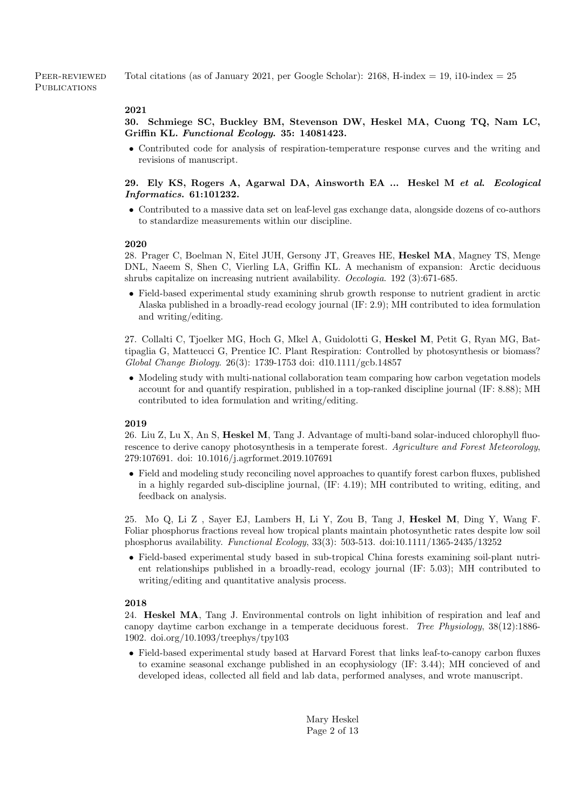PEER-REVIEWED **PUBLICATIONS** Total citations (as of January 2021, per Google Scholar): 2168, H-index = 19, i10-index = 25

## 2021

30. Schmiege SC, Buckley BM, Stevenson DW, Heskel MA, Cuong TQ, Nam LC, Griffin KL. Functional Ecology. 35: 14081423.

• Contributed code for analysis of respiration-temperature response curves and the writing and revisions of manuscript.

## 29. Ely KS, Rogers A, Agarwal DA, Ainsworth EA ... Heskel M et al. Ecological Informatics. 61:101232.

• Contributed to a massive data set on leaf-level gas exchange data, alongside dozens of co-authors to standardize measurements within our discipline.

## 2020

28. Prager C, Boelman N, Eitel JUH, Gersony JT, Greaves HE, Heskel MA, Magney TS, Menge DNL, Naeem S, Shen C, Vierling LA, Griffin KL. A mechanism of expansion: Arctic deciduous shrubs capitalize on increasing nutrient availability. Oecologia. 192 (3):671-685.

• Field-based experimental study examining shrub growth response to nutrient gradient in arctic Alaska published in a broadly-read ecology journal (IF: 2.9); MH contributed to idea formulation and writing/editing.

27. Collalti C, Tjoelker MG, Hoch G, Mkel A, Guidolotti G, Heskel M, Petit G, Ryan MG, Battipaglia G, Matteucci G, Prentice IC. Plant Respiration: Controlled by photosynthesis or biomass? Global Change Biology. 26(3): 1739-1753 doi: d10.1111/gcb.14857

• Modeling study with multi-national collaboration team comparing how carbon vegetation models account for and quantify respiration, published in a top-ranked discipline journal (IF: 8.88); MH contributed to idea formulation and writing/editing.

#### 2019

26. Liu Z, Lu X, An S, Heskel M, Tang J. Advantage of multi-band solar-induced chlorophyll fluorescence to derive canopy photosynthesis in a temperate forest. Agriculture and Forest Meteorology, 279:107691. doi: 10.1016/j.agrformet.2019.107691

• Field and modeling study reconciling novel approaches to quantify forest carbon fluxes, published in a highly regarded sub-discipline journal, (IF: 4.19); MH contributed to writing, editing, and feedback on analysis.

25. Mo Q, Li Z , Sayer EJ, Lambers H, Li Y, Zou B, Tang J, Heskel M, Ding Y, Wang F. Foliar phosphorus fractions reveal how tropical plants maintain photosynthetic rates despite low soil phosphorus availability. Functional Ecology, 33(3): 503-513. doi:10.1111/1365-2435/13252

• Field-based experimental study based in sub-tropical China forests examining soil-plant nutrient relationships published in a broadly-read, ecology journal (IF: 5.03); MH contributed to writing/editing and quantitative analysis process.

### 2018

24. Heskel MA, Tang J. Environmental controls on light inhibition of respiration and leaf and canopy daytime carbon exchange in a temperate deciduous forest. Tree Physiology, 38(12):1886- 1902. doi.org/10.1093/treephys/tpy103

• Field-based experimental study based at Harvard Forest that links leaf-to-canopy carbon fluxes to examine seasonal exchange published in an ecophysiology (IF: 3.44); MH concieved of and developed ideas, collected all field and lab data, performed analyses, and wrote manuscript.

> Mary Heskel Page 2 of 13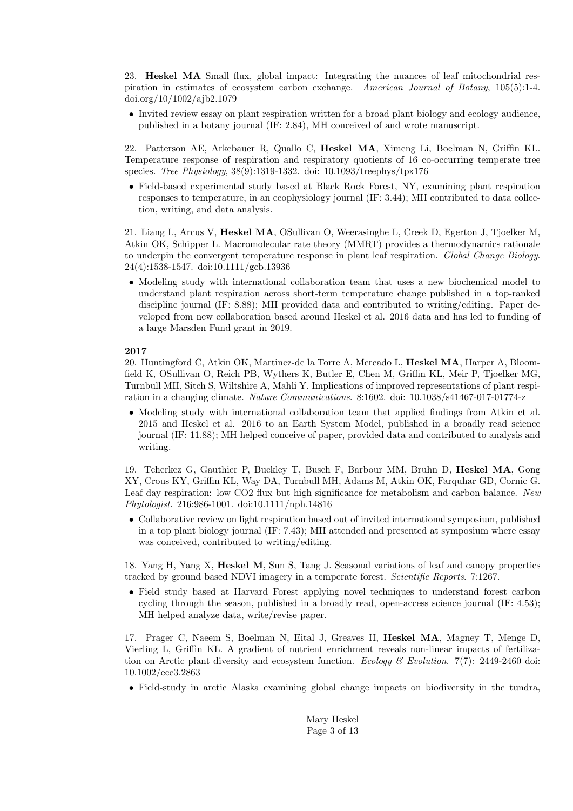23. Heskel MA Small flux, global impact: Integrating the nuances of leaf mitochondrial respiration in estimates of ecosystem carbon exchange. American Journal of Botany, 105(5):1-4. doi.org/10/1002/ajb2.1079

• Invited review essay on plant respiration written for a broad plant biology and ecology audience, published in a botany journal (IF: 2.84), MH conceived of and wrote manuscript.

22. Patterson AE, Arkebauer R, Quallo C, Heskel MA, Ximeng Li, Boelman N, Griffin KL. Temperature response of respiration and respiratory quotients of 16 co-occurring temperate tree species. Tree Physiology, 38(9):1319-1332. doi: 10.1093/treephys/tpx176

• Field-based experimental study based at Black Rock Forest, NY, examining plant respiration responses to temperature, in an ecophysiology journal (IF: 3.44); MH contributed to data collection, writing, and data analysis.

21. Liang L, Arcus V, Heskel MA, OSullivan O, Weerasinghe L, Creek D, Egerton J, Tjoelker M, Atkin OK, Schipper L. Macromolecular rate theory (MMRT) provides a thermodynamics rationale to underpin the convergent temperature response in plant leaf respiration. Global Change Biology. 24(4):1538-1547. doi:10.1111/gcb.13936

• Modeling study with international collaboration team that uses a new biochemical model to understand plant respiration across short-term temperature change published in a top-ranked discipline journal (IF: 8.88); MH provided data and contributed to writing/editing. Paper developed from new collaboration based around Heskel et al. 2016 data and has led to funding of a large Marsden Fund grant in 2019.

## 2017

20. Huntingford C, Atkin OK, Martinez-de la Torre A, Mercado L, Heskel MA, Harper A, Bloomfield K, OSullivan O, Reich PB, Wythers K, Butler E, Chen M, Griffin KL, Meir P, Tjoelker MG, Turnbull MH, Sitch S, Wiltshire A, Mahli Y. Implications of improved representations of plant respiration in a changing climate. Nature Communications. 8:1602. doi: 10.1038/s41467-017-01774-z

• Modeling study with international collaboration team that applied findings from Atkin et al. 2015 and Heskel et al. 2016 to an Earth System Model, published in a broadly read science journal (IF: 11.88); MH helped conceive of paper, provided data and contributed to analysis and writing.

19. Tcherkez G, Gauthier P, Buckley T, Busch F, Barbour MM, Bruhn D, Heskel MA, Gong XY, Crous KY, Griffin KL, Way DA, Turnbull MH, Adams M, Atkin OK, Farquhar GD, Cornic G. Leaf day respiration: low CO2 flux but high significance for metabolism and carbon balance. New Phytologist. 216:986-1001. doi:10.1111/nph.14816

• Collaborative review on light respiration based out of invited international symposium, published in a top plant biology journal (IF: 7.43); MH attended and presented at symposium where essay was conceived, contributed to writing/editing.

18. Yang H, Yang X, Heskel M, Sun S, Tang J. Seasonal variations of leaf and canopy properties tracked by ground based NDVI imagery in a temperate forest. Scientific Reports. 7:1267.

• Field study based at Harvard Forest applying novel techniques to understand forest carbon cycling through the season, published in a broadly read, open-access science journal (IF: 4.53); MH helped analyze data, write/revise paper.

17. Prager C, Naeem S, Boelman N, Eital J, Greaves H, Heskel MA, Magney T, Menge D, Vierling L, Griffin KL. A gradient of nutrient enrichment reveals non-linear impacts of fertilization on Arctic plant diversity and ecosystem function. Ecology & Evolution. 7(7): 2449-2460 doi: 10.1002/ece3.2863

• Field-study in arctic Alaska examining global change impacts on biodiversity in the tundra,

Mary Heskel Page 3 of 13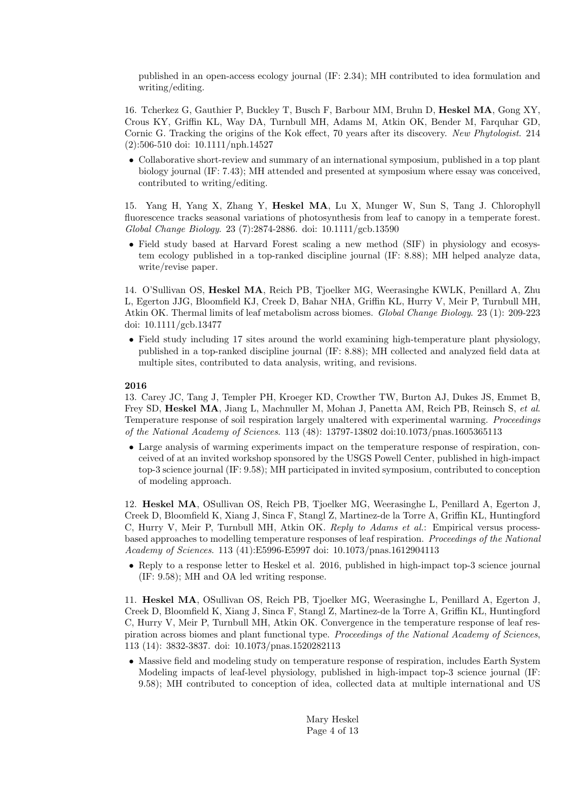published in an open-access ecology journal (IF: 2.34); MH contributed to idea formulation and writing/editing.

16. Tcherkez G, Gauthier P, Buckley T, Busch F, Barbour MM, Bruhn D, Heskel MA, Gong XY, Crous KY, Griffin KL, Way DA, Turnbull MH, Adams M, Atkin OK, Bender M, Farquhar GD, Cornic G. Tracking the origins of the Kok effect, 70 years after its discovery. New Phytologist. 214 (2):506-510 doi: 10.1111/nph.14527

• Collaborative short-review and summary of an international symposium, published in a top plant biology journal (IF: 7.43); MH attended and presented at symposium where essay was conceived, contributed to writing/editing.

15. Yang H, Yang X, Zhang Y, Heskel MA, Lu X, Munger W, Sun S, Tang J. Chlorophyll fluorescence tracks seasonal variations of photosynthesis from leaf to canopy in a temperate forest. Global Change Biology. 23 (7):2874-2886. doi: 10.1111/gcb.13590

• Field study based at Harvard Forest scaling a new method (SIF) in physiology and ecosystem ecology published in a top-ranked discipline journal (IF: 8.88); MH helped analyze data, write/revise paper.

14. O'Sullivan OS, Heskel MA, Reich PB, Tjoelker MG, Weerasinghe KWLK, Penillard A, Zhu L, Egerton JJG, Bloomfield KJ, Creek D, Bahar NHA, Griffin KL, Hurry V, Meir P, Turnbull MH, Atkin OK. Thermal limits of leaf metabolism across biomes. Global Change Biology. 23 (1): 209-223 doi: 10.1111/gcb.13477

• Field study including 17 sites around the world examining high-temperature plant physiology, published in a top-ranked discipline journal (IF: 8.88); MH collected and analyzed field data at multiple sites, contributed to data analysis, writing, and revisions.

## 2016

13. Carey JC, Tang J, Templer PH, Kroeger KD, Crowther TW, Burton AJ, Dukes JS, Emmet B, Frey SD, Heskel MA, Jiang L, Machnuller M, Mohan J, Panetta AM, Reich PB, Reinsch S, et al. Temperature response of soil respiration largely unaltered with experimental warming. Proceedings of the National Academy of Sciences. 113 (48): 13797-13802 doi:10.1073/pnas.1605365113

• Large analysis of warming experiments impact on the temperature response of respiration, conceived of at an invited workshop sponsored by the USGS Powell Center, published in high-impact top-3 science journal (IF: 9.58); MH participated in invited symposium, contributed to conception of modeling approach.

12. Heskel MA, OSullivan OS, Reich PB, Tjoelker MG, Weerasinghe L, Penillard A, Egerton J, Creek D, Bloomfield K, Xiang J, Sinca F, Stangl Z, Martinez-de la Torre A, Griffin KL, Huntingford C, Hurry V, Meir P, Turnbull MH, Atkin OK. Reply to Adams et al.: Empirical versus processbased approaches to modelling temperature responses of leaf respiration. Proceedings of the National Academy of Sciences. 113 (41):E5996-E5997 doi: 10.1073/pnas.1612904113

• Reply to a response letter to Heskel et al. 2016, published in high-impact top-3 science journal (IF: 9.58); MH and OA led writing response.

11. Heskel MA, OSullivan OS, Reich PB, Tjoelker MG, Weerasinghe L, Penillard A, Egerton J, Creek D, Bloomfield K, Xiang J, Sinca F, Stangl Z, Martinez-de la Torre A, Griffin KL, Huntingford C, Hurry V, Meir P, Turnbull MH, Atkin OK. Convergence in the temperature response of leaf respiration across biomes and plant functional type. Proceedings of the National Academy of Sciences, 113 (14): 3832-3837. doi: 10.1073/pnas.1520282113

• Massive field and modeling study on temperature response of respiration, includes Earth System Modeling impacts of leaf-level physiology, published in high-impact top-3 science journal (IF: 9.58); MH contributed to conception of idea, collected data at multiple international and US

> Mary Heskel Page 4 of 13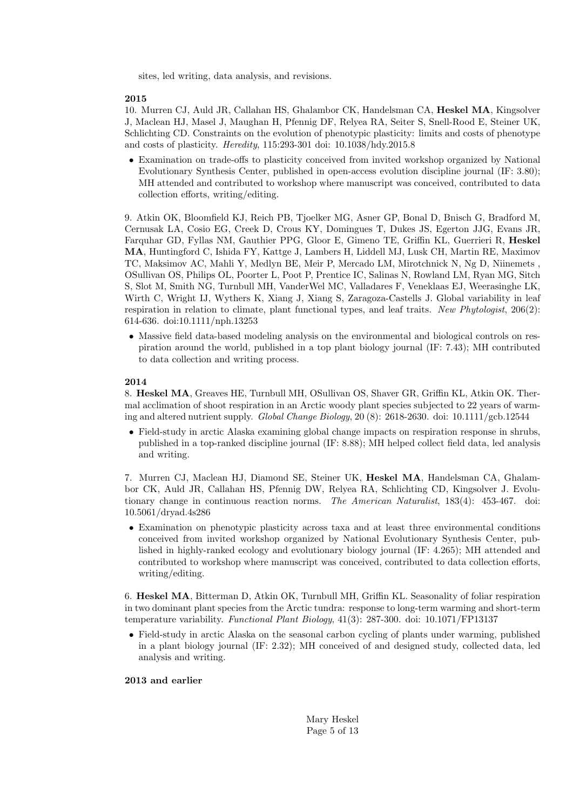sites, led writing, data analysis, and revisions.

## 2015

10. Murren CJ, Auld JR, Callahan HS, Ghalambor CK, Handelsman CA, Heskel MA, Kingsolver J, Maclean HJ, Masel J, Maughan H, Pfennig DF, Relyea RA, Seiter S, Snell-Rood E, Steiner UK, Schlichting CD. Constraints on the evolution of phenotypic plasticity: limits and costs of phenotype and costs of plasticity. Heredity, 115:293-301 doi: 10.1038/hdy.2015.8

• Examination on trade-offs to plasticity conceived from invited workshop organized by National Evolutionary Synthesis Center, published in open-access evolution discipline journal (IF: 3.80); MH attended and contributed to workshop where manuscript was conceived, contributed to data collection efforts, writing/editing.

9. Atkin OK, Bloomfield KJ, Reich PB, Tjoelker MG, Asner GP, Bonal D, Bnisch G, Bradford M, Cernusak LA, Cosio EG, Creek D, Crous KY, Domingues T, Dukes JS, Egerton JJG, Evans JR, Farquhar GD, Fyllas NM, Gauthier PPG, Gloor E, Gimeno TE, Griffin KL, Guerrieri R, Heskel MA, Huntingford C, Ishida FY, Kattge J, Lambers H, Liddell MJ, Lusk CH, Martin RE, Maximov TC, Maksimov AC, Mahli Y, Medlyn BE, Meir P, Mercado LM, Mirotchnick N, Ng D, Niinemets , OSullivan OS, Philips OL, Poorter L, Poot P, Prentice IC, Salinas N, Rowland LM, Ryan MG, Sitch S, Slot M, Smith NG, Turnbull MH, VanderWel MC, Valladares F, Veneklaas EJ, Weerasinghe LK, Wirth C, Wright IJ, Wythers K, Xiang J, Xiang S, Zaragoza-Castells J. Global variability in leaf respiration in relation to climate, plant functional types, and leaf traits. New Phytologist, 206(2): 614-636. doi:10.1111/nph.13253

• Massive field data-based modeling analysis on the environmental and biological controls on respiration around the world, published in a top plant biology journal (IF: 7.43); MH contributed to data collection and writing process.

### 2014

8. Heskel MA, Greaves HE, Turnbull MH, OSullivan OS, Shaver GR, Griffin KL, Atkin OK. Thermal acclimation of shoot respiration in an Arctic woody plant species subjected to 22 years of warming and altered nutrient supply. Global Change Biology, 20 (8): 2618-2630. doi: 10.1111/gcb.12544

• Field-study in arctic Alaska examining global change impacts on respiration response in shrubs, published in a top-ranked discipline journal (IF: 8.88); MH helped collect field data, led analysis and writing.

7. Murren CJ, Maclean HJ, Diamond SE, Steiner UK, Heskel MA, Handelsman CA, Ghalambor CK, Auld JR, Callahan HS, Pfennig DW, Relyea RA, Schlichting CD, Kingsolver J. Evolutionary change in continuous reaction norms. The American Naturalist, 183(4): 453-467. doi: 10.5061/dryad.4s286

• Examination on phenotypic plasticity across taxa and at least three environmental conditions conceived from invited workshop organized by National Evolutionary Synthesis Center, published in highly-ranked ecology and evolutionary biology journal (IF: 4.265); MH attended and contributed to workshop where manuscript was conceived, contributed to data collection efforts, writing/editing.

6. Heskel MA, Bitterman D, Atkin OK, Turnbull MH, Griffin KL. Seasonality of foliar respiration in two dominant plant species from the Arctic tundra: response to long-term warming and short-term temperature variability. Functional Plant Biology, 41(3): 287-300. doi: 10.1071/FP13137

• Field-study in arctic Alaska on the seasonal carbon cycling of plants under warming, published in a plant biology journal (IF: 2.32); MH conceived of and designed study, collected data, led analysis and writing.

### 2013 and earlier

Mary Heskel Page 5 of 13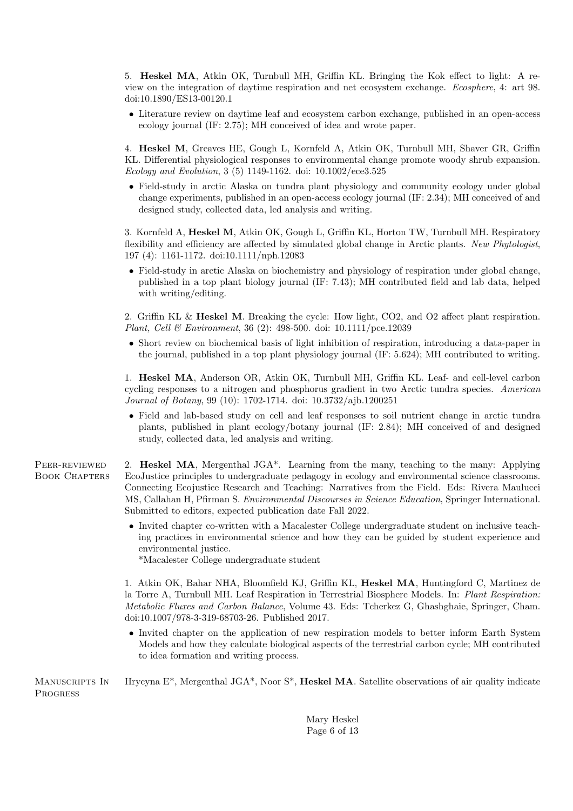5. Heskel MA, Atkin OK, Turnbull MH, Griffin KL. Bringing the Kok effect to light: A review on the integration of daytime respiration and net ecosystem exchange. Ecosphere, 4: art 98. doi:10.1890/ES13-00120.1

• Literature review on daytime leaf and ecosystem carbon exchange, published in an open-access ecology journal (IF: 2.75); MH conceived of idea and wrote paper.

4. Heskel M, Greaves HE, Gough L, Kornfeld A, Atkin OK, Turnbull MH, Shaver GR, Griffin KL. Differential physiological responses to environmental change promote woody shrub expansion. Ecology and Evolution, 3 (5) 1149-1162. doi: 10.1002/ece3.525

• Field-study in arctic Alaska on tundra plant physiology and community ecology under global change experiments, published in an open-access ecology journal (IF: 2.34); MH conceived of and designed study, collected data, led analysis and writing.

3. Kornfeld A, Heskel M, Atkin OK, Gough L, Griffin KL, Horton TW, Turnbull MH. Respiratory flexibility and efficiency are affected by simulated global change in Arctic plants. New Phytologist, 197 (4): 1161-1172. doi:10.1111/nph.12083

• Field-study in arctic Alaska on biochemistry and physiology of respiration under global change, published in a top plant biology journal (IF: 7.43); MH contributed field and lab data, helped with writing/editing.

2. Griffin KL & Heskel M. Breaking the cycle: How light, CO2, and O2 affect plant respiration. Plant, Cell & Environment, 36 (2): 498-500. doi: 10.1111/pce.12039

• Short review on biochemical basis of light inhibition of respiration, introducing a data-paper in the journal, published in a top plant physiology journal (IF: 5.624); MH contributed to writing.

1. Heskel MA, Anderson OR, Atkin OK, Turnbull MH, Griffin KL. Leaf- and cell-level carbon cycling responses to a nitrogen and phosphorus gradient in two Arctic tundra species. American Journal of Botany, 99 (10): 1702-1714. doi: 10.3732/ajb.1200251

• Field and lab-based study on cell and leaf responses to soil nutrient change in arctic tundra plants, published in plant ecology/botany journal (IF: 2.84); MH conceived of and designed study, collected data, led analysis and writing.

PEER-REVIEWED Book Chapters 2. Heskel MA, Mergenthal JGA\*. Learning from the many, teaching to the many: Applying EcoJustice principles to undergraduate pedagogy in ecology and environmental science classrooms. Connecting Ecojustice Research and Teaching: Narratives from the Field. Eds: Rivera Maulucci MS, Callahan H, Pfirman S. Environmental Discourses in Science Education, Springer International. Submitted to editors, expected publication date Fall 2022.

> • Invited chapter co-written with a Macalester College undergraduate student on inclusive teaching practices in environmental science and how they can be guided by student experience and environmental justice.

\*Macalester College undergraduate student

1. Atkin OK, Bahar NHA, Bloomfield KJ, Griffin KL, Heskel MA, Huntingford C, Martinez de la Torre A, Turnbull MH. Leaf Respiration in Terrestrial Biosphere Models. In: Plant Respiration: Metabolic Fluxes and Carbon Balance, Volume 43. Eds: Tcherkez G, Ghashghaie, Springer, Cham. doi:10.1007/978-3-319-68703-26. Published 2017.

• Invited chapter on the application of new respiration models to better inform Earth System Models and how they calculate biological aspects of the terrestrial carbon cycle; MH contributed to idea formation and writing process.

MANUSCRIPTS IN Progress Hrycyna  $E^*$ , Mergenthal JGA\*, Noor  $S^*$ , **Heskel MA**. Satellite observations of air quality indicate

> Mary Heskel Page 6 of 13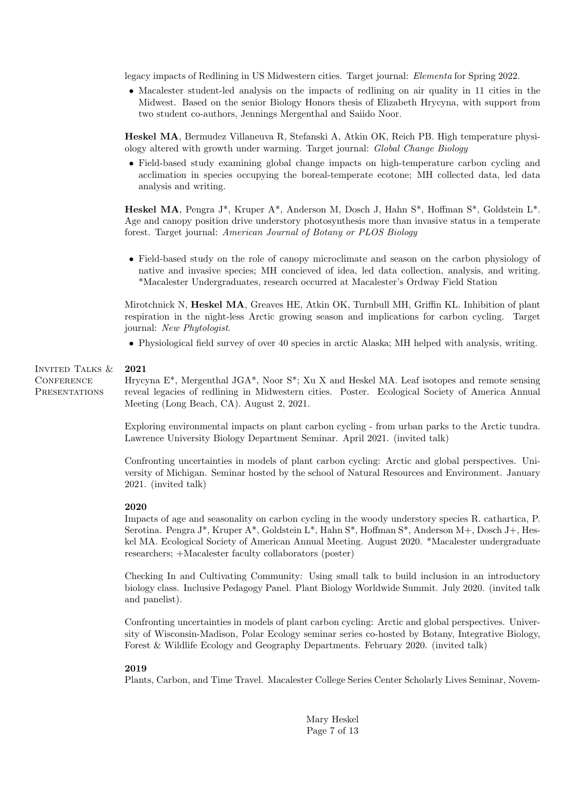legacy impacts of Redlining in US Midwestern cities. Target journal: Elementa for Spring 2022.

• Macalester student-led analysis on the impacts of redlining on air quality in 11 cities in the Midwest. Based on the senior Biology Honors thesis of Elizabeth Hrycyna, with support from two student co-authors, Jennings Mergenthal and Saiido Noor.

Heskel MA, Bermudez Villaneuva R, Stefanski A, Atkin OK, Reich PB. High temperature physiology altered with growth under warming. Target journal: Global Change Biology

• Field-based study examining global change impacts on high-temperature carbon cycling and acclimation in species occupying the boreal-temperate ecotone; MH collected data, led data analysis and writing.

Heskel MA, Pengra J\*, Kruper A\*, Anderson M, Dosch J, Hahn S\*, Hoffman S\*, Goldstein L\*. Age and canopy position drive understory photosynthesis more than invasive status in a temperate forest. Target journal: American Journal of Botany or PLOS Biology

• Field-based study on the role of canopy microclimate and season on the carbon physiology of native and invasive species; MH concieved of idea, led data collection, analysis, and writing. \*Macalester Undergraduates, research occurred at Macalester's Ordway Field Station

Mirotchnick N, Heskel MA, Greaves HE, Atkin OK, Turnbull MH, Griffin KL. Inhibition of plant respiration in the night-less Arctic growing season and implications for carbon cycling. Target journal: New Phytologist.

• Physiological field survey of over 40 species in arctic Alaska; MH helped with analysis, writing.

#### INVITED TALKS  $&$ 2021

**CONFERENCE PRESENTATIONS**  Hrycyna E\*, Mergenthal JGA\*, Noor S\*; Xu X and Heskel MA. Leaf isotopes and remote sensing reveal legacies of redlining in Midwestern cities. Poster. Ecological Society of America Annual Meeting (Long Beach, CA). August 2, 2021.

Exploring environmental impacts on plant carbon cycling - from urban parks to the Arctic tundra. Lawrence University Biology Department Seminar. April 2021. (invited talk)

Confronting uncertainties in models of plant carbon cycling: Arctic and global perspectives. University of Michigan. Seminar hosted by the school of Natural Resources and Environment. January 2021. (invited talk)

## 2020

Impacts of age and seasonality on carbon cycling in the woody understory species R. cathartica, P. Serotina. Pengra J\*, Kruper A\*, Goldstein L\*, Hahn S\*, Hoffman S\*, Anderson M+, Dosch J+, Heskel MA. Ecological Society of American Annual Meeting. August 2020. \*Macalester undergraduate researchers; +Macalester faculty collaborators (poster)

Checking In and Cultivating Community: Using small talk to build inclusion in an introductory biology class. Inclusive Pedagogy Panel. Plant Biology Worldwide Summit. July 2020. (invited talk and panelist).

Confronting uncertainties in models of plant carbon cycling: Arctic and global perspectives. University of Wisconsin-Madison, Polar Ecology seminar series co-hosted by Botany, Integrative Biology, Forest & Wildlife Ecology and Geography Departments. February 2020. (invited talk)

## 2019

Plants, Carbon, and Time Travel. Macalester College Series Center Scholarly Lives Seminar, Novem-

Mary Heskel Page 7 of 13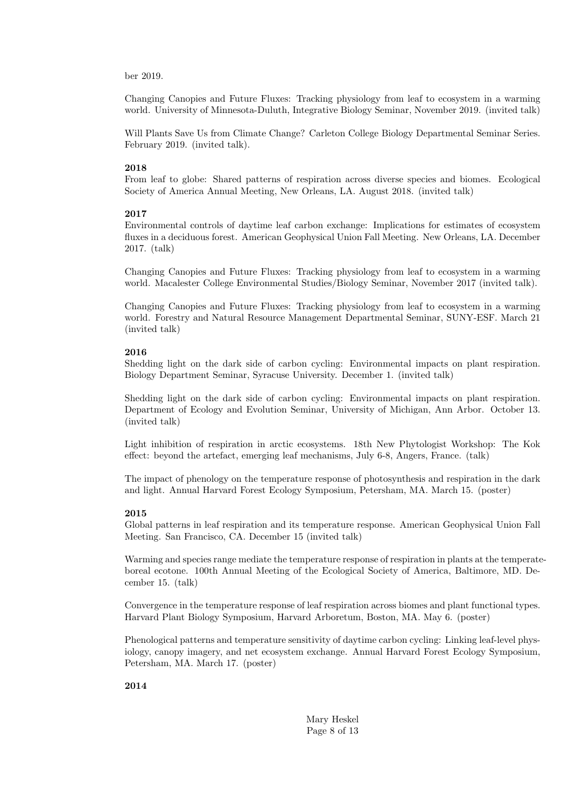## ber 2019.

Changing Canopies and Future Fluxes: Tracking physiology from leaf to ecosystem in a warming world. University of Minnesota-Duluth, Integrative Biology Seminar, November 2019. (invited talk)

Will Plants Save Us from Climate Change? Carleton College Biology Departmental Seminar Series. February 2019. (invited talk).

## 2018

From leaf to globe: Shared patterns of respiration across diverse species and biomes. Ecological Society of America Annual Meeting, New Orleans, LA. August 2018. (invited talk)

### 2017

Environmental controls of daytime leaf carbon exchange: Implications for estimates of ecosystem fluxes in a deciduous forest. American Geophysical Union Fall Meeting. New Orleans, LA. December 2017. (talk)

Changing Canopies and Future Fluxes: Tracking physiology from leaf to ecosystem in a warming world. Macalester College Environmental Studies/Biology Seminar, November 2017 (invited talk).

Changing Canopies and Future Fluxes: Tracking physiology from leaf to ecosystem in a warming world. Forestry and Natural Resource Management Departmental Seminar, SUNY-ESF. March 21 (invited talk)

## 2016

Shedding light on the dark side of carbon cycling: Environmental impacts on plant respiration. Biology Department Seminar, Syracuse University. December 1. (invited talk)

Shedding light on the dark side of carbon cycling: Environmental impacts on plant respiration. Department of Ecology and Evolution Seminar, University of Michigan, Ann Arbor. October 13. (invited talk)

Light inhibition of respiration in arctic ecosystems. 18th New Phytologist Workshop: The Kok effect: beyond the artefact, emerging leaf mechanisms, July 6-8, Angers, France. (talk)

The impact of phenology on the temperature response of photosynthesis and respiration in the dark and light. Annual Harvard Forest Ecology Symposium, Petersham, MA. March 15. (poster)

### 2015

Global patterns in leaf respiration and its temperature response. American Geophysical Union Fall Meeting. San Francisco, CA. December 15 (invited talk)

Warming and species range mediate the temperature response of respiration in plants at the temperateboreal ecotone. 100th Annual Meeting of the Ecological Society of America, Baltimore, MD. December 15. (talk)

Convergence in the temperature response of leaf respiration across biomes and plant functional types. Harvard Plant Biology Symposium, Harvard Arboretum, Boston, MA. May 6. (poster)

Phenological patterns and temperature sensitivity of daytime carbon cycling: Linking leaf-level physiology, canopy imagery, and net ecosystem exchange. Annual Harvard Forest Ecology Symposium, Petersham, MA. March 17. (poster)

2014

Mary Heskel Page 8 of 13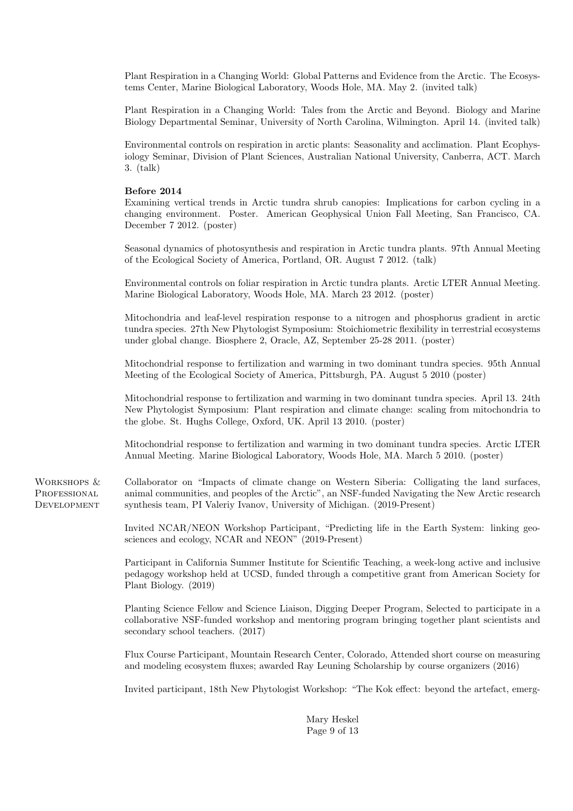Plant Respiration in a Changing World: Global Patterns and Evidence from the Arctic. The Ecosystems Center, Marine Biological Laboratory, Woods Hole, MA. May 2. (invited talk)

Plant Respiration in a Changing World: Tales from the Arctic and Beyond. Biology and Marine Biology Departmental Seminar, University of North Carolina, Wilmington. April 14. (invited talk)

Environmental controls on respiration in arctic plants: Seasonality and acclimation. Plant Ecophysiology Seminar, Division of Plant Sciences, Australian National University, Canberra, ACT. March 3. (talk)

## Before 2014

Examining vertical trends in Arctic tundra shrub canopies: Implications for carbon cycling in a changing environment. Poster. American Geophysical Union Fall Meeting, San Francisco, CA. December 7 2012. (poster)

Seasonal dynamics of photosynthesis and respiration in Arctic tundra plants. 97th Annual Meeting of the Ecological Society of America, Portland, OR. August 7 2012. (talk)

Environmental controls on foliar respiration in Arctic tundra plants. Arctic LTER Annual Meeting. Marine Biological Laboratory, Woods Hole, MA. March 23 2012. (poster)

Mitochondria and leaf-level respiration response to a nitrogen and phosphorus gradient in arctic tundra species. 27th New Phytologist Symposium: Stoichiometric flexibility in terrestrial ecosystems under global change. Biosphere 2, Oracle, AZ, September 25-28 2011. (poster)

Mitochondrial response to fertilization and warming in two dominant tundra species. 95th Annual Meeting of the Ecological Society of America, Pittsburgh, PA. August 5 2010 (poster)

Mitochondrial response to fertilization and warming in two dominant tundra species. April 13. 24th New Phytologist Symposium: Plant respiration and climate change: scaling from mitochondria to the globe. St. Hughs College, Oxford, UK. April 13 2010. (poster)

Mitochondrial response to fertilization and warming in two dominant tundra species. Arctic LTER Annual Meeting. Marine Biological Laboratory, Woods Hole, MA. March 5 2010. (poster)

WORKSHOPS & PROFESSIONAL **DEVELOPMENT** Collaborator on "Impacts of climate change on Western Siberia: Colligating the land surfaces, animal communities, and peoples of the Arctic", an NSF-funded Navigating the New Arctic research synthesis team, PI Valeriy Ivanov, University of Michigan. (2019-Present)

> Invited NCAR/NEON Workshop Participant, "Predicting life in the Earth System: linking geosciences and ecology, NCAR and NEON" (2019-Present)

> Participant in California Summer Institute for Scientific Teaching, a week-long active and inclusive pedagogy workshop held at UCSD, funded through a competitive grant from American Society for Plant Biology. (2019)

> Planting Science Fellow and Science Liaison, Digging Deeper Program, Selected to participate in a collaborative NSF-funded workshop and mentoring program bringing together plant scientists and secondary school teachers. (2017)

> Flux Course Participant, Mountain Research Center, Colorado, Attended short course on measuring and modeling ecosystem fluxes; awarded Ray Leuning Scholarship by course organizers (2016)

> Invited participant, 18th New Phytologist Workshop: "The Kok effect: beyond the artefact, emerg-

Mary Heskel Page 9 of 13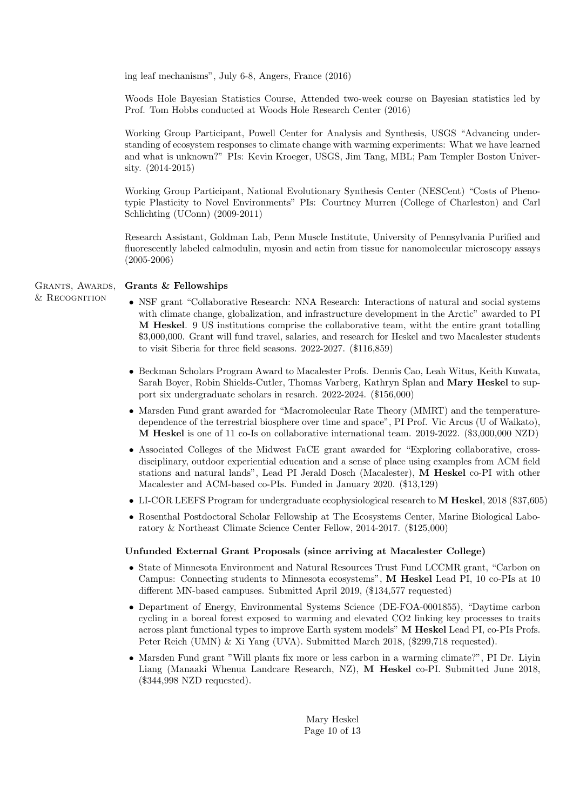ing leaf mechanisms", July 6-8, Angers, France (2016)

Woods Hole Bayesian Statistics Course, Attended two-week course on Bayesian statistics led by Prof. Tom Hobbs conducted at Woods Hole Research Center (2016)

Working Group Participant, Powell Center for Analysis and Synthesis, USGS "Advancing understanding of ecosystem responses to climate change with warming experiments: What we have learned and what is unknown?" PIs: Kevin Kroeger, USGS, Jim Tang, MBL; Pam Templer Boston University. (2014-2015)

Working Group Participant, National Evolutionary Synthesis Center (NESCent) "Costs of Phenotypic Plasticity to Novel Environments" PIs: Courtney Murren (College of Charleston) and Carl Schlichting (UConn) (2009-2011)

Research Assistant, Goldman Lab, Penn Muscle Institute, University of Pennsylvania Purified and fluorescently labeled calmodulin, myosin and actin from tissue for nanomolecular microscopy assays (2005-2006)

## GRANTS, AWARDS, Grants & Fellowships

& Recognition

- NSF grant "Collaborative Research: NNA Research: Interactions of natural and social systems with climate change, globalization, and infrastructure development in the Arctic" awarded to PI M Heskel. 9 US institutions comprise the collaborative team, witht the entire grant totalling \$3,000,000. Grant will fund travel, salaries, and research for Heskel and two Macalester students to visit Siberia for three field seasons. 2022-2027. (\$116,859)
	- Beckman Scholars Program Award to Macalester Profs. Dennis Cao, Leah Witus, Keith Kuwata, Sarah Boyer, Robin Shields-Cutler, Thomas Varberg, Kathryn Splan and Mary Heskel to support six undergraduate scholars in resarch. 2022-2024. (\$156,000)
	- Marsden Fund grant awarded for "Macromolecular Rate Theory (MMRT) and the temperaturedependence of the terrestrial biosphere over time and space", PI Prof. Vic Arcus (U of Waikato), M Heskel is one of 11 co-Is on collaborative international team. 2019-2022. (\$3,000,000 NZD)
	- Associated Colleges of the Midwest FaCE grant awarded for "Exploring collaborative, crossdisciplinary, outdoor experiential education and a sense of place using examples from ACM field stations and natural lands", Lead PI Jerald Dosch (Macalester), M Heskel co-PI with other Macalester and ACM-based co-PIs. Funded in January 2020. (\$13,129)
	- LI-COR LEEFS Program for undergraduate ecophysiological research to M Heskel, 2018 (\$37,605)
	- Rosenthal Postdoctoral Scholar Fellowship at The Ecosystems Center, Marine Biological Laboratory & Northeast Climate Science Center Fellow, 2014-2017. (\$125,000)

## Unfunded External Grant Proposals (since arriving at Macalester College)

- State of Minnesota Environment and Natural Resources Trust Fund LCCMR grant, "Carbon on Campus: Connecting students to Minnesota ecosystems", M Heskel Lead PI, 10 co-PIs at 10 different MN-based campuses. Submitted April 2019, (\$134,577 requested)
- Department of Energy, Environmental Systems Science (DE-FOA-0001855), "Daytime carbon cycling in a boreal forest exposed to warming and elevated CO2 linking key processes to traits across plant functional types to improve Earth system models" M Heskel Lead PI, co-PIs Profs. Peter Reich (UMN) & Xi Yang (UVA). Submitted March 2018, (\$299,718 requested).
- Marsden Fund grant "Will plants fix more or less carbon in a warming climate?", PI Dr. Liyin Liang (Manaaki Whenua Landcare Research, NZ), M Heskel co-PI. Submitted June 2018, (\$344,998 NZD requested).

Mary Heskel Page 10 of 13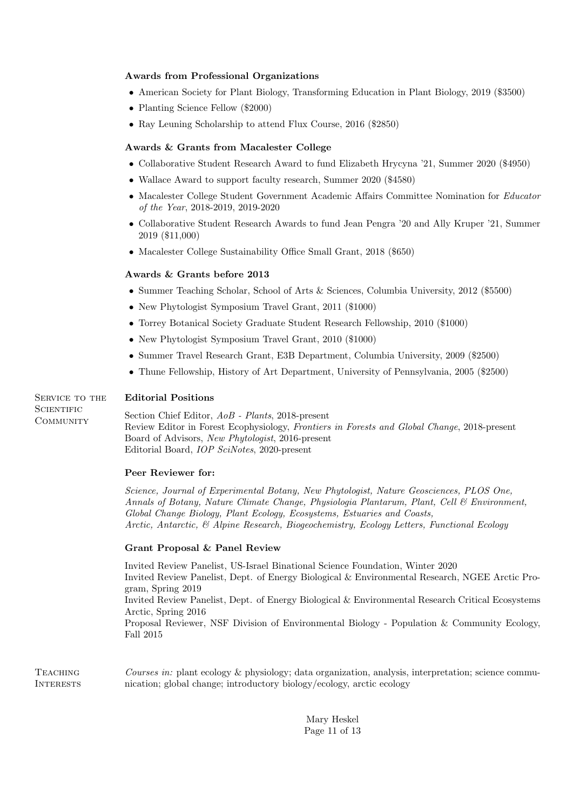## Awards from Professional Organizations

- American Society for Plant Biology, Transforming Education in Plant Biology, 2019 (\$3500)
- Planting Science Fellow (\$2000)
- Ray Leuning Scholarship to attend Flux Course, 2016 (\$2850)

## Awards & Grants from Macalester College

- Collaborative Student Research Award to fund Elizabeth Hrycyna '21, Summer 2020 (\$4950)
- Wallace Award to support faculty research, Summer 2020 (\$4580)
- Macalester College Student Government Academic Affairs Committee Nomination for Educator of the Year, 2018-2019, 2019-2020
- Collaborative Student Research Awards to fund Jean Pengra '20 and Ally Kruper '21, Summer 2019 (\$11,000)
- Macalester College Sustainability Office Small Grant, 2018 (\$650)

## Awards & Grants before 2013

- Summer Teaching Scholar, School of Arts & Sciences, Columbia University, 2012 (\$5500)
- New Phytologist Symposium Travel Grant, 2011 (\$1000)
- Torrey Botanical Society Graduate Student Research Fellowship, 2010 (\$1000)
- New Phytologist Symposium Travel Grant, 2010 (\$1000)
- Summer Travel Research Grant, E3B Department, Columbia University, 2009 (\$2500)
- Thune Fellowship, History of Art Department, University of Pennsylvania, 2005 (\$2500)

#### SERVICE TO THE Editorial Positions

SCIENTIFIC **COMMUNITY** 

Section Chief Editor, AoB - Plants, 2018-present Review Editor in Forest Ecophysiology, Frontiers in Forests and Global Change, 2018-present Board of Advisors, New Phytologist, 2016-present Editorial Board, IOP SciNotes, 2020-present

## Peer Reviewer for:

Science, Journal of Experimental Botany, New Phytologist, Nature Geosciences, PLOS One, Annals of Botany, Nature Climate Change, Physiologia Plantarum, Plant, Cell & Environment, Global Change Biology, Plant Ecology, Ecosystems, Estuaries and Coasts, Arctic, Antarctic, & Alpine Research, Biogeochemistry, Ecology Letters, Functional Ecology

## Grant Proposal & Panel Review

Invited Review Panelist, US-Israel Binational Science Foundation, Winter 2020 Invited Review Panelist, Dept. of Energy Biological & Environmental Research, NGEE Arctic Program, Spring 2019 Invited Review Panelist, Dept. of Energy Biological & Environmental Research Critical Ecosystems Arctic, Spring 2016 Proposal Reviewer, NSF Division of Environmental Biology - Population & Community Ecology, Fall 2015

**TEACHING INTERESTS** Courses in: plant ecology & physiology; data organization, analysis, interpretation; science communication; global change; introductory biology/ecology, arctic ecology

> Mary Heskel Page 11 of 13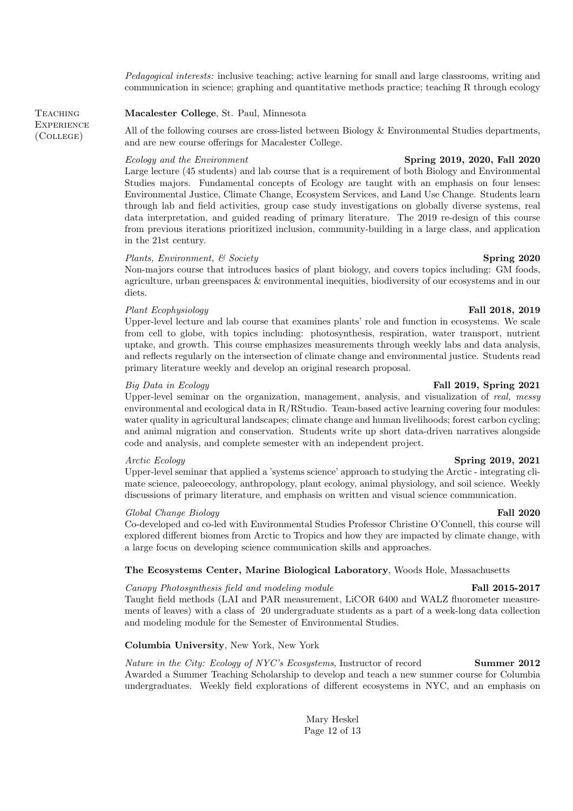Pedagogical interests: inclusive teaching; active learning for small and large classrooms, writing and communication in science; graphing and quantitative methods practice; teaching R through ecology

**TEACHING EXPERIENCE** (College)

Macalester College, St. Paul, Minnesota

All of the following courses are cross-listed between Biology & Environmental Studies departments, and are new course offerings for Macalester College.

## Ecology and the Environment Spring 2019, 2020, Fall 2020

Large lecture (45 students) and lab course that is a requirement of both Biology and Environmental Studies majors. Fundamental concepts of Ecology are taught with an emphasis on four lenses: Environmental Justice, Climate Change, Ecosystem Services, and Land Use Change. Students learn through lab and field activities, group case study investigations on globally diverse systems, real data interpretation, and guided reading of primary literature. The 2019 re-design of this course from previous iterations prioritized inclusion, community-building in a large class, and application in the 21st century.

## Plants, Environment, & Society Spring 2020

Non-majors course that introduces basics of plant biology, and covers topics including: GM foods, agriculture, urban greenspaces & environmental inequities, biodiversity of our ecosystems and in our diets.

## Plant Ecophysiology **Fall 2018, 2019**

Upper-level lecture and lab course that examines plants' role and function in ecosystems. We scale from cell to globe, with topics including: photosynthesis, respiration, water transport, nutrient uptake, and growth. This course emphasizes measurements through weekly labs and data analysis, and reflects regularly on the intersection of climate change and environmental justice. Students read primary literature weekly and develop an original research proposal.

### Big Data in Ecology **Fall 2019, Spring 2021**

Upper-level seminar on the organization, management, analysis, and visualization of real, messy environmental and ecological data in R/RStudio. Team-based active learning covering four modules: water quality in agricultural landscapes; climate change and human livelihoods; forest carbon cycling; and animal migration and conservation. Students write up short data-driven narratives alongside code and analysis, and complete semester with an independent project.

### Arctic Ecology Spring 2019, 2021

Upper-level seminar that applied a 'systems science' approach to studying the Arctic - integrating climate science, paleoecology, anthropology, plant ecology, animal physiology, and soil science. Weekly discussions of primary literature, and emphasis on written and visual science communication.

## Global Change Biology Fall 2020

Co-developed and co-led with Environmental Studies Professor Christine O'Connell, this course will explored different biomes from Arctic to Tropics and how they are impacted by climate change, with a large focus on developing science communication skills and approaches.

## The Ecosystems Center, Marine Biological Laboratory, Woods Hole, Massachusetts

## Canopy Photosynthesis field and modeling module Fall 2015-2017

Taught field methods (LAI and PAR measurement, LiCOR 6400 and WALZ fluorometer measurements of leaves) with a class of 20 undergraduate students as a part of a week-long data collection and modeling module for the Semester of Environmental Studies.

## Columbia University, New York, New York

Nature in the City: Ecology of NYC's Ecosystems, Instructor of record Summer 2012 Awarded a Summer Teaching Scholarship to develop and teach a new summer course for Columbia undergraduates. Weekly field explorations of different ecosystems in NYC, and an emphasis on

> Mary Heskel Page 12 of 13